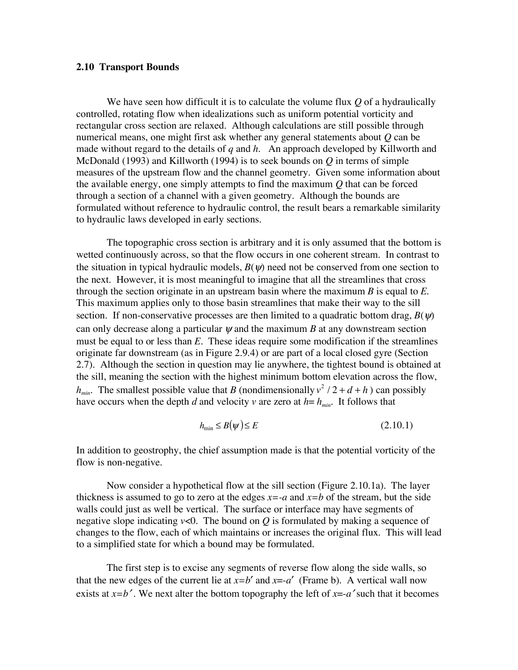## **2.10 Transport Bounds**

We have seen how difficult it is to calculate the volume flux *Q* of a hydraulically controlled, rotating flow when idealizations such as uniform potential vorticity and rectangular cross section are relaxed. Although calculations are still possible through numerical means, one might first ask whether any general statements about *Q* can be made without regard to the details of *q* and *h*. An approach developed by Killworth and McDonald (1993) and Killworth (1994) is to seek bounds on *Q* in terms of simple measures of the upstream flow and the channel geometry. Given some information about the available energy, one simply attempts to find the maximum *Q* that can be forced through a section of a channel with a given geometry. Although the bounds are formulated without reference to hydraulic control, the result bears a remarkable similarity to hydraulic laws developed in early sections.

The topographic cross section is arbitrary and it is only assumed that the bottom is wetted continuously across, so that the flow occurs in one coherent stream. In contrast to the situation in typical hydraulic models,  $B(\psi)$  need not be conserved from one section to the next. However, it is most meaningful to imagine that all the streamlines that cross through the section originate in an upstream basin where the maximum *B* is equal to *E*. This maximum applies only to those basin streamlines that make their way to the sill section. If non-conservative processes are then limited to a quadratic bottom drag,  $B(\psi)$ can only decrease along a particular  $\psi$  and the maximum *B* at any downstream section must be equal to or less than *E*. These ideas require some modification if the streamlines originate far downstream (as in Figure 2.9.4) or are part of a local closed gyre (Section 2.7). Although the section in question may lie anywhere, the tightest bound is obtained at the sill, meaning the section with the highest minimum bottom elevation across the flow,  $h_{min}$ . The smallest possible value that *B* (nondimensionally  $v^2/2 + d + h$ ) can possibly have occurs when the depth *d* and velocity *v* are zero at  $h = h_{min}$ . It follows that

$$
h_{\min} \le B(\psi) \le E \tag{2.10.1}
$$

In addition to geostrophy, the chief assumption made is that the potential vorticity of the flow is non-negative.

Now consider a hypothetical flow at the sill section (Figure 2.10.1a). The layer thickness is assumed to go to zero at the edges  $x = -a$  and  $x = b$  of the stream, but the side walls could just as well be vertical. The surface or interface may have segments of negative slope indicating  $v<0$ . The bound on  $Q$  is formulated by making a sequence of changes to the flow, each of which maintains or increases the original flux. This will lead to a simplified state for which a bound may be formulated.

The first step is to excise any segments of reverse flow along the side walls, so that the new edges of the current lie at  $x=b'$  and  $x=a'$  (Frame b). A vertical wall now exists at  $x=b'$ . We next alter the bottom topography the left of  $x=a'$  such that it becomes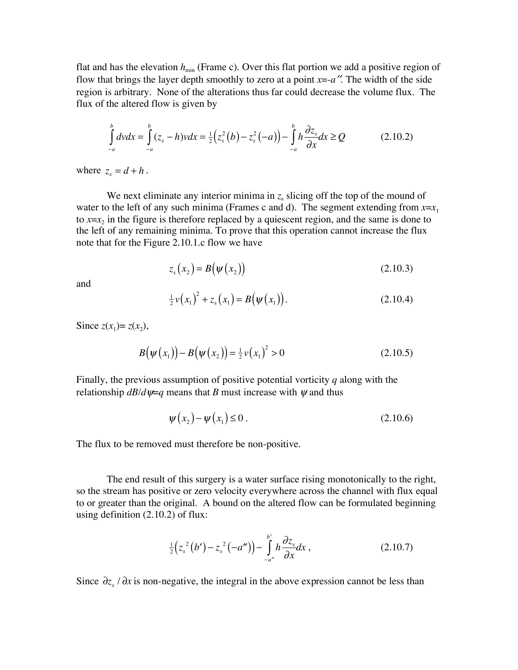flat and has the elevation  $h_{\min}$  (Frame c). Over this flat portion we add a positive region of flow that brings the layer depth smoothly to zero at a point  $x = -a$ <sup>"</sup>. The width of the side region is arbitrary. None of the alterations thus far could decrease the volume flux. The flux of the altered flow is given by

$$
\int_{-a}^{b} dv dx = \int_{-a}^{b} (z_s - h) v dx = \frac{1}{2} (z_s^2 (b) - z_s^2 (-a)) - \int_{-a}^{b} h \frac{\partial z_s}{\partial x} dx \ge Q
$$
\n(2.10.2)

where  $z_s = d + h$ .

We next eliminate any interior minima in  $z<sub>s</sub>$  slicing off the top of the mound of water to the left of any such minima (Frames c and d). The segment extending from  $x=x_1$ to  $x=x_2$  in the figure is therefore replaced by a quiescent region, and the same is done to the left of any remaining minima. To prove that this operation cannot increase the flux note that for the Figure 2.10.1.c flow we have

$$
z_s(x_2) = B(\psi(x_2))
$$
\n(2.10.3)

and

$$
\frac{1}{2}\nu(x_1)^2 + z_s(x_1) = B(\psi(x_1)).
$$
\n(2.10.4)

Since  $z(x_1) = z(x_2)$ ,

$$
B(\psi(x_1)) - B(\psi(x_2)) = \frac{1}{2}\nu(x_1)^2 > 0
$$
\n(2.10.5)

Finally, the previous assumption of positive potential vorticity *q* along with the relationship  $dB/d\psi = q$  means that *B* must increase with  $\psi$  and thus

$$
\psi(x_2) - \psi(x_1) \le 0. \tag{2.10.6}
$$

The flux to be removed must therefore be non-positive.

The end result of this surgery is a water surface rising monotonically to the right, so the stream has positive or zero velocity everywhere across the channel with flux equal to or greater than the original. A bound on the altered flow can be formulated beginning using definition (2.10.2) of flux:

$$
\frac{1}{2}(z_s^2(b') - z_s^2(-a'')) - \int_{-a''}^{b'} h \frac{\partial z_s}{\partial x} dx , \qquad (2.10.7)
$$

Since  $\partial z$ ,  $\partial x$  is non-negative, the integral in the above expression cannot be less than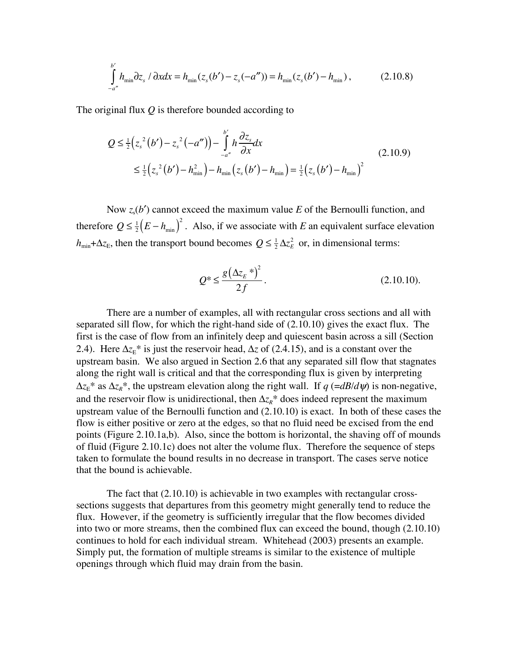$$
\int_{-a''}^{b'} h_{\min} \partial z_s / \partial x dx = h_{\min} (z_s(b') - z_s(-a'')) = h_{\min} (z_s(b') - h_{\min}), \qquad (2.10.8)
$$

The original flux *Q* is therefore bounded according to

$$
Q \leq \frac{1}{2} (z_s^2 (b') - z_s^2 (-a'')) - \int_{-a''}^{b'} h \frac{\partial z_s}{\partial x} dx
$$
  
 
$$
\leq \frac{1}{2} (z_s^2 (b') - h_{\min}^2) - h_{\min} (z_s (b') - h_{\min}) = \frac{1}{2} (z_s (b') - h_{\min})^2
$$
 (2.10.9)

Now  $z<sub>s</sub>(b')$  cannot exceed the maximum value *E* of the Bernoulli function, and therefore  $Q \leq \frac{1}{2}(E - h_{min})^2$ . Also, if we associate with *E* an equivalent surface elevation  $h_{min} + \Delta z_E$ , then the transport bound becomes  $Q \leq \frac{1}{2} \Delta z_E^2$  or, in dimensional terms:

$$
Q^* \le \frac{g(\Delta z_E^*)^2}{2f}.
$$
\n(2.10.10).

There are a number of examples, all with rectangular cross sections and all with separated sill flow, for which the right-hand side of (2.10.10) gives the exact flux. The first is the case of flow from an infinitely deep and quiescent basin across a sill (Section 2.4). Here  $\Delta z_{\rm E}$ <sup>\*</sup> is just the reservoir head,  $\Delta z$  of (2.4.15), and is a constant over the upstream basin. We also argued in Section 2.6 that any separated sill flow that stagnates along the right wall is critical and that the corresponding flux is given by interpreting  $\Delta z_{\rm E}^*$  as  $\Delta z_{\rm E}^*$ , the upstream elevation along the right wall. If *q* (=*dB*/*d* $\psi$ ) is non-negative, and the reservoir flow is unidirectional, then  $\Delta z_R^*$  does indeed represent the maximum upstream value of the Bernoulli function and (2.10.10) is exact. In both of these cases the flow is either positive or zero at the edges, so that no fluid need be excised from the end points (Figure 2.10.1a,b). Also, since the bottom is horizontal, the shaving off of mounds of fluid (Figure 2.10.1c) does not alter the volume flux. Therefore the sequence of steps taken to formulate the bound results in no decrease in transport. The cases serve notice that the bound is achievable.

The fact that (2.10.10) is achievable in two examples with rectangular crosssections suggests that departures from this geometry might generally tend to reduce the flux. However, if the geometry is sufficiently irregular that the flow becomes divided into two or more streams, then the combined flux can exceed the bound, though (2.10.10) continues to hold for each individual stream. Whitehead (2003) presents an example. Simply put, the formation of multiple streams is similar to the existence of multiple openings through which fluid may drain from the basin.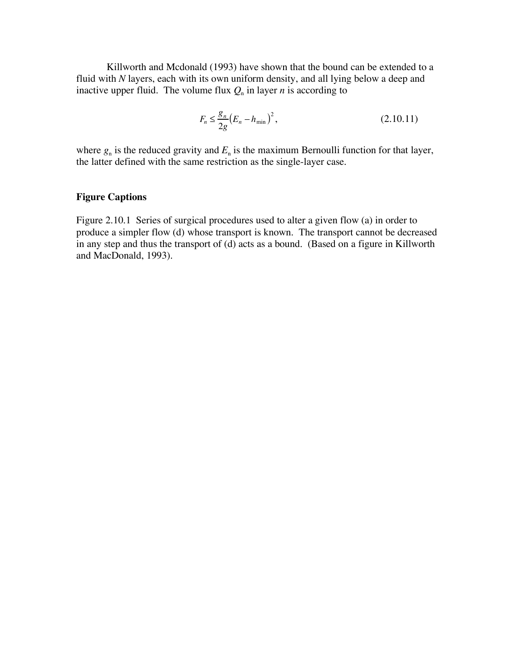Killworth and Mcdonald (1993) have shown that the bound can be extended to a fluid with *N* layers, each with its own uniform density, and all lying below a deep and inactive upper fluid. The volume flux  $Q_n$  in layer *n* is according to

$$
F_n \le \frac{g_n}{2g} (E_n - h_{\min})^2, \tag{2.10.11}
$$

where  $g_n$  is the reduced gravity and  $E_n$  is the maximum Bernoulli function for that layer, the latter defined with the same restriction as the single-layer case.

## **Figure Captions**

Figure 2.10.1 Series of surgical procedures used to alter a given flow (a) in order to produce a simpler flow (d) whose transport is known. The transport cannot be decreased in any step and thus the transport of (d) acts as a bound. (Based on a figure in Killworth and MacDonald, 1993).